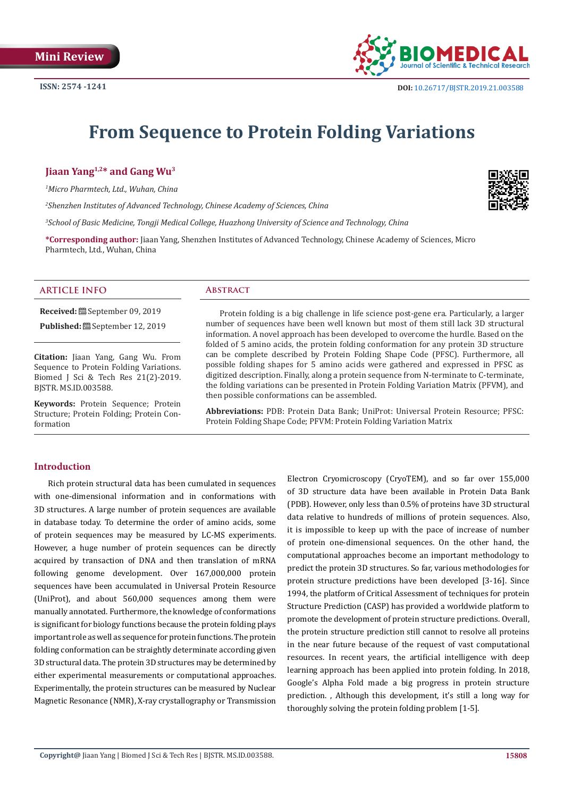

# **From Sequence to Protein Folding Variations**

**Jiaan Yang1,2\* and Gang Wu3**

*1 Micro Pharmtech, Ltd., Wuhan, China*

*2 Shenzhen Institutes of Advanced Technology, Chinese Academy of Sciences, China*

*3 School of Basic Medicine, Tongji Medical College, Huazhong University of Science and Technology, China*

**\*Corresponding author:** Jiaan Yang, Shenzhen Institutes of Advanced Technology, Chinese Academy of Sciences, Micro Pharmtech, Ltd., Wuhan, China

#### **ARTICLE INFO Abstract**

**Received:** September 09, 2019 Published: **@** September 12, 2019

**Citation:** Jiaan Yang, Gang Wu. From Sequence to Protein Folding Variations. Biomed J Sci & Tech Res 21(2)-2019. BJSTR. MS.ID.003588.

**Keywords:** Protein Sequence; Protein Structure; Protein Folding; Protein Conformation

Protein folding is a big challenge in life science post-gene era. Particularly, a larger number of sequences have been well known but most of them still lack 3D structural information. A novel approach has been developed to overcome the hurdle. Based on the folded of 5 amino acids, the protein folding conformation for any protein 3D structure can be complete described by Protein Folding Shape Code (PFSC). Furthermore, all possible folding shapes for 5 amino acids were gathered and expressed in PFSC as digitized description. Finally, along a protein sequence from N-terminate to C-terminate, the folding variations can be presented in Protein Folding Variation Matrix (PFVM), and then possible conformations can be assembled.

**Abbreviations:** PDB: Protein Data Bank; UniProt: Universal Protein Resource; PFSC: Protein Folding Shape Code; PFVM: Protein Folding Variation Matrix

#### **Introduction**

Rich protein structural data has been cumulated in sequences with one-dimensional information and in conformations with 3D structures. A large number of protein sequences are available in database today. To determine the order of amino acids, some of protein sequences may be measured by LC-MS experiments. However, a huge number of protein sequences can be directly acquired by transaction of DNA and then translation of mRNA following genome development. Over 167,000,000 protein sequences have been accumulated in Universal Protein Resource (UniProt), and about 560,000 sequences among them were manually annotated. Furthermore, the knowledge of conformations is significant for biology functions because the protein folding plays important role as well as sequence for protein functions. The protein folding conformation can be straightly determinate according given 3D structural data. The protein 3D structures may be determined by either experimental measurements or computational approaches. Experimentally, the protein structures can be measured by Nuclear Magnetic Resonance (NMR), X-ray crystallography or Transmission

Electron Cryomicroscopy (CryoTEM), and so far over 155,000 of 3D structure data have been available in Protein Data Bank (PDB). However, only less than 0.5% of proteins have 3D structural data relative to hundreds of millions of protein sequences. Also, it is impossible to keep up with the pace of increase of number of protein one-dimensional sequences. On the other hand, the computational approaches become an important methodology to predict the protein 3D structures. So far, various methodologies for protein structure predictions have been developed [3-16]. Since 1994, the platform of Critical Assessment of techniques for protein Structure Prediction (CASP) has provided a worldwide platform to promote the development of protein structure predictions. Overall, the protein structure prediction still cannot to resolve all proteins in the near future because of the request of vast computational resources. In recent years, the artificial intelligence with deep learning approach has been applied into protein folding. In 2018, Google's Alpha Fold made a big progress in protein structure prediction. , Although this development, it's still a long way for thoroughly solving the protein folding problem [1-5].

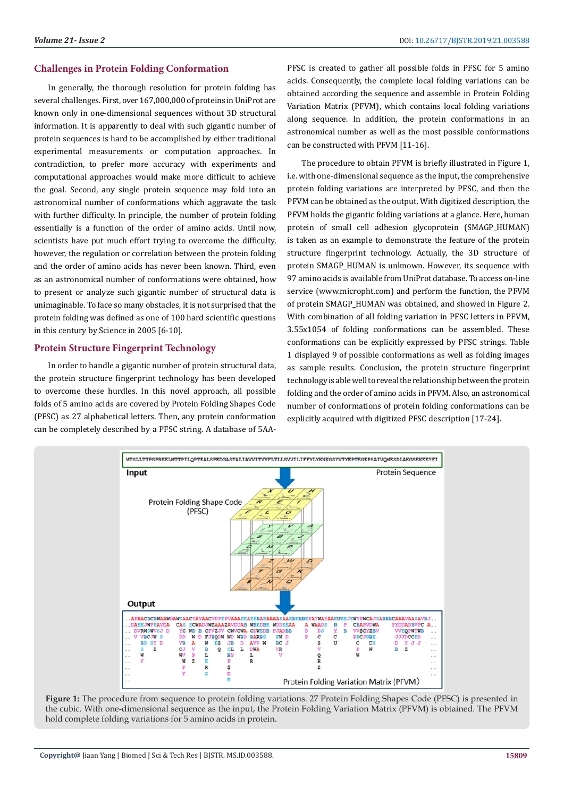#### **Challenges in Protein Folding Conformation**

In generally, the thorough resolution for protein folding has several challenges. First, over 167,000,000 of proteins in UniProt are known only in one-dimensional sequences without 3D structural information. It is apparently to deal with such gigantic number of protein sequences is hard to be accomplished by either traditional experimental measurements or computation approaches. In contradiction, to prefer more accuracy with experiments and computational approaches would make more difficult to achieve the goal. Second, any single protein sequence may fold into an astronomical number of conformations which aggravate the task with further difficulty. In principle, the number of protein folding essentially is a function of the order of amino acids. Until now, scientists have put much effort trying to overcome the difficulty, however, the regulation or correlation between the protein folding and the order of amino acids has never been known. Third, even as an astronomical number of conformations were obtained, how to present or analyze such gigantic number of structural data is unimaginable. To face so many obstacles, it is not surprised that the protein folding was defined as one of 100 hard scientific questions in this century by Science in 2005 [6-10].

## **Protein Structure Fingerprint Technology**

In order to handle a gigantic number of protein structural data, the protein structure fingerprint technology has been developed to overcome these hurdles. In this novel approach, all possible folds of 5 amino acids are covered by Protein Folding Shapes Code (PFSC) as 27 alphabetical letters. Then, any protein conformation can be completely described by a PFSC string. A database of 5AA-

PFSC is created to gather all possible folds in PFSC for 5 amino acids. Consequently, the complete local folding variations can be obtained according the sequence and assemble in Protein Folding Variation Matrix (PFVM), which contains local folding variations along sequence. In addition, the protein conformations in an astronomical number as well as the most possible conformations can be constructed with PFVM [11-16].

The procedure to obtain PFVM is briefly illustrated in Figure 1, i.e. with one-dimensional sequence as the input, the comprehensive protein folding variations are interpreted by PFSC, and then the PFVM can be obtained as the output. With digitized description, the PFVM holds the gigantic folding variations at a glance. Here, human protein of small cell adhesion glycoprotein (SMAGP\_HUMAN) is taken as an example to demonstrate the feature of the protein structure fingerprint technology. Actually, the 3D structure of protein SMAGP\_HUMAN is unknown. However, its sequence with 97 amino acids is available from UniProt database. To access on-line service (www.micropht.com) and perform the function, the PFVM of protein SMAGP\_HUMAN was obtained, and showed in Figure 2. With combination of all folding variation in PFSC letters in PFVM, 3.55x1054 of folding conformations can be assembled. These conformations can be explicitly expressed by PFSC strings. Table 1 displayed 9 of possible conformations as well as folding images as sample results. Conclusion, the protein structure fingerprint technology is able well to reveal the relationship between the protein folding and the order of amino acids in PFVM. Also, an astronomical number of conformations of protein folding conformations can be explicitly acquired with digitized PFSC description [17-24].



**Figure 1:** The procedure from sequence to protein folding variations. 27 Protein Folding Shapes Code (PFSC) is presented in the cubic. With one-dimensional sequence as the input, the Protein Folding Variation Matrix (PFVM) is obtained. The PFVM hold complete folding variations for 5 amino acids in protein.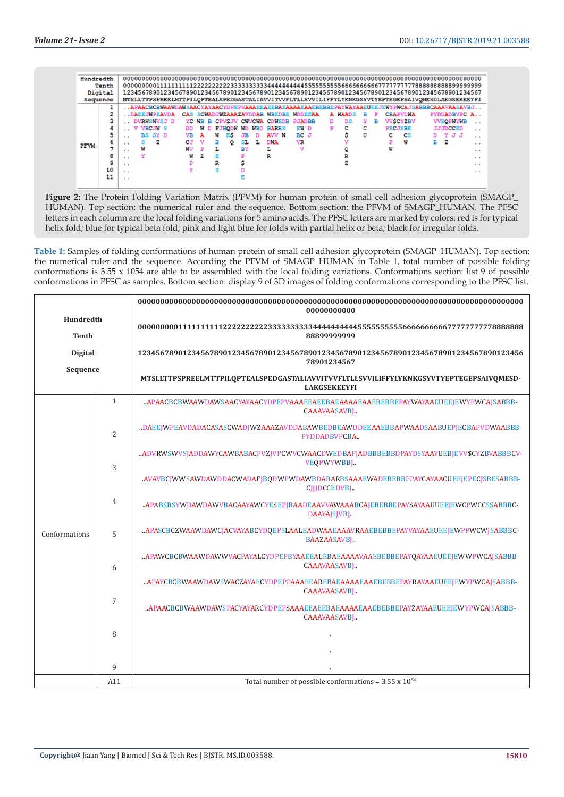| Hundredth   |    |          |              |                |   |             |           |   |     |   |               |           |            |                                       |      |  |   |         |   |   |   |                 |   |                                                                                                   |                                                                                               |          |
|-------------|----|----------|--------------|----------------|---|-------------|-----------|---|-----|---|---------------|-----------|------------|---------------------------------------|------|--|---|---------|---|---|---|-----------------|---|---------------------------------------------------------------------------------------------------|-----------------------------------------------------------------------------------------------|----------|
| Tenth       |    |          |              |                |   |             |           |   |     |   |               |           |            |                                       |      |  |   |         |   |   |   |                 |   |                                                                                                   |                                                                                               |          |
| Digital     |    |          |              |                |   |             |           |   |     |   |               |           |            |                                       |      |  |   |         |   |   |   |                 |   | 1234567890123456789012345678901234567890123456789012345678901234567890123456789012345678901234567 |                                                                                               |          |
| Sequence    |    |          |              |                |   |             |           |   |     |   |               |           |            |                                       |      |  |   |         |   |   |   |                 |   | MTSLLTTPSPREELMTTPILOPTEALSPEDGASTALIAVVITVVFLTLLSVVILIFFYLYKNKGSYVTYEPTEGEPSAIVOMESDLAKGSEKEEYFI |                                                                                               |          |
|             |    |          |              |                |   |             |           |   |     |   |               |           |            |                                       |      |  |   |         |   |   |   |                 |   |                                                                                                   | APAACBCBWAAWDAWSAACYAYAACYDPEPVAAAEEAEEBAEAAAAAEAEEEBBEPAYWAYAAEUEEJEWYPWCAJSABBBCAAAVAASAVBJ |          |
| <b>PFVM</b> | 2  |          | DAEEJWPEAVDA |                |   |             |           |   |     |   |               |           |            | CAS SCWADJWZAAAZAVDDAB WBEDBE WDDEEAA |      |  |   | A WAADS | в | ₽ |   | <b>CBAPVDWA</b> |   |                                                                                                   | PYDDADBVPC A.                                                                                 |          |
|             |    |          |              |                |   | DVRWSWVSJ D |           |   |     |   |               |           |            | YC WB B CPVZJV CWVCWA CDWEDB PJADBB   |      |  | D | DS      |   | в |   | <b>VVSCYZBV</b> |   |                                                                                                   | <b>VVEOPWYWB</b>                                                                              | $\sim$   |
|             |    |          | v            | <b>VBCJW S</b> |   |             | סם        |   | WD. |   | <b>FJBODW</b> | WD        | <b>WBD</b> | <b>BARBS</b>                          | EW D |  | P | c       | c |   |   | <b>PECJSBE</b>  |   |                                                                                                   | <b>JJJDCCED</b>                                                                               | $\cdots$ |
|             | 5  | $\sim$   |              | BS SY D        |   |             | <b>VR</b> | А |     | w | ЕŚ            |           | D          | AVV W                                 | BC J |  |   |         | U |   |   | <b>CS</b>       |   |                                                                                                   | YJJ                                                                                           | $\sim$   |
|             | 6  | $\sim$   |              |                | z |             | СJ        | v |     | в | ٥             | SL        | L          | DWA                                   | VR   |  |   |         |   |   |   | W               | R | z                                                                                                 |                                                                                               | $\cdots$ |
|             |    | $\sim$   | W            |                |   |             | wv        | P |     | L |               | <b>RY</b> |            |                                       | v    |  |   |         |   |   | W |                 |   |                                                                                                   |                                                                                               | $\cdots$ |
|             | 8  | $\sim$   |              |                |   |             | w         | z |     |   |               |           |            | R                                     |      |  |   |         |   |   |   |                 |   |                                                                                                   |                                                                                               | $\sim$   |
|             | 9  | $\cdots$ |              |                |   |             |           |   |     | R |               |           |            |                                       |      |  |   |         |   |   |   |                 |   |                                                                                                   |                                                                                               | $\cdots$ |
|             | 10 | $\cdots$ |              |                |   |             |           |   |     |   |               |           |            |                                       |      |  |   |         |   |   |   |                 |   |                                                                                                   |                                                                                               | $\cdots$ |
|             | 11 | $\sim$   |              |                |   |             |           |   |     |   |               |           |            |                                       |      |  |   |         |   |   |   |                 |   |                                                                                                   |                                                                                               |          |

**Figure 2:** The Protein Folding Variation Matrix (PFVM) for human protein of small cell adhesion glycoprotein (SMAGP\_ HUMAN). Top section: the numerical ruler and the sequence. Bottom section: the PFVM of SMAGP\_HUMAN. The PFSC letters in each column are the local folding variations for 5 amino acids. The PFSC letters are marked by colors: red is for typical helix fold; blue for typical beta fold; pink and light blue for folds with partial helix or beta; black for irregular folds.

**Table 1:** Samples of folding conformations of human protein of small cell adhesion glycoprotein (SMAGP\_HUMAN). Top section: the numerical ruler and the sequence. According the PFVM of SMAGP\_HUMAN in Table 1, total number of possible folding conformations is 3.55 x 1054 are able to be assembled with the local folding variations. Conformations section: list 9 of possible conformations in PFSC as samples. Bottom section: display 9 of 3D images of folding conformations corresponding to the PFSC list.

|                           |                | 00000000000                                                                                                   |  |  |  |  |  |  |  |  |  |
|---------------------------|----------------|---------------------------------------------------------------------------------------------------------------|--|--|--|--|--|--|--|--|--|
| Hundredth<br><b>Tenth</b> |                | 88899999999                                                                                                   |  |  |  |  |  |  |  |  |  |
| <b>Digital</b>            |                | 12345678901234567890123456789012345678901234567890123456789012345678901234567890123456<br>78901234567         |  |  |  |  |  |  |  |  |  |
| Sequence                  |                | MTSLLTTPSPREELMTTPILQPTEALSPEDGASTALIAVVITVVFLTLLSVVILIFFYLYKNKGSYVTYEPTEGEPSAIVQMESD-<br><b>LAKGSEKEEYFI</b> |  |  |  |  |  |  |  |  |  |
|                           | $\mathbf{1}$   | APAACBCBWAAWDAWSAACYAYAACYDPEPVAAAEEAEEBAEAAAAEAEBEBBEPAYWAYAAEUEEJEWYPWCAJSABBB-<br>CAAAVAASAVBJ             |  |  |  |  |  |  |  |  |  |
|                           | $\overline{2}$ | .DAEEJWPEAVDADACASASCWADJWZAAAZAVDDABAWBEDBEAWDDEEAAEBBAPWAADSAABUEPJECBAPVDWAABBB-<br>PYDDADBVPCBA           |  |  |  |  |  |  |  |  |  |
|                           | 3              | ADVRWSWVSJADDAWYCAWBABACPVZJVPCWVCWAACDWEDBAPJADBBBEEBDPAYDSYAAYUEBJEVV\$CYZBVABBBCV-<br><b>VEOPWYWBBJ</b>    |  |  |  |  |  |  |  |  |  |
|                           |                | AVAVBCJWWSAWDAWDDACWADAFJBQDWPWDAWBDABARBSAAAEWADEBEBBPPAYCAYAACUEEJEPECJSBESABBB-<br>CIIIDCCEDVBI            |  |  |  |  |  |  |  |  |  |
|                           | $\overline{4}$ | APABSBSYWDAWDAWVBACAAYAWCYE\$EP[BAADEAAVVAWAAABCA[EBEBBEPAY\$AYAAUUEE]EWCPWCCSSABBBC-<br>DAAYAISIVBI          |  |  |  |  |  |  |  |  |  |
| Conformations             | 5              | APASCBCZWAAWDAWCJACVAYABCYDQEPSLAALEADWAAEAAAVRAAEBEBBEPAYVAYAAEUEEJEWPPWCWJSABBBC-<br><b>BAAZAASAVBI</b>     |  |  |  |  |  |  |  |  |  |
|                           | 6              | APAWCBCBWAAWDAWWVACPAYALCYDPEPBYAAEEALEBAEAAAAVAAEBEBBEPAYQAYAAEUEEJEWWPWCAJSABBB-<br>CAAAVAASAVBJ            |  |  |  |  |  |  |  |  |  |
|                           |                | APAYCBCBWAAWDAWSWACZAYAECYDPEPPAAAEEAREBAEAAAAEAEBEBBEPAYRAYAAEUEEJEWYPWCAJSABBB-<br>CAAAVAASAVBJ             |  |  |  |  |  |  |  |  |  |
|                           | $\overline{7}$ | APAACBCBWAAWDAWSPACYAYARCYDPEP\$AAAEEAEEBAEAAAAEAAEBEBBEPAYZAYAAEUEE[EWYPWCA]SABBB-<br>CAAAVAASAVBJ           |  |  |  |  |  |  |  |  |  |
|                           | 8              |                                                                                                               |  |  |  |  |  |  |  |  |  |
|                           |                |                                                                                                               |  |  |  |  |  |  |  |  |  |
|                           | 9              |                                                                                                               |  |  |  |  |  |  |  |  |  |
|                           | A11            | Total number of possible conformations = $3.55 \times 10^{54}$                                                |  |  |  |  |  |  |  |  |  |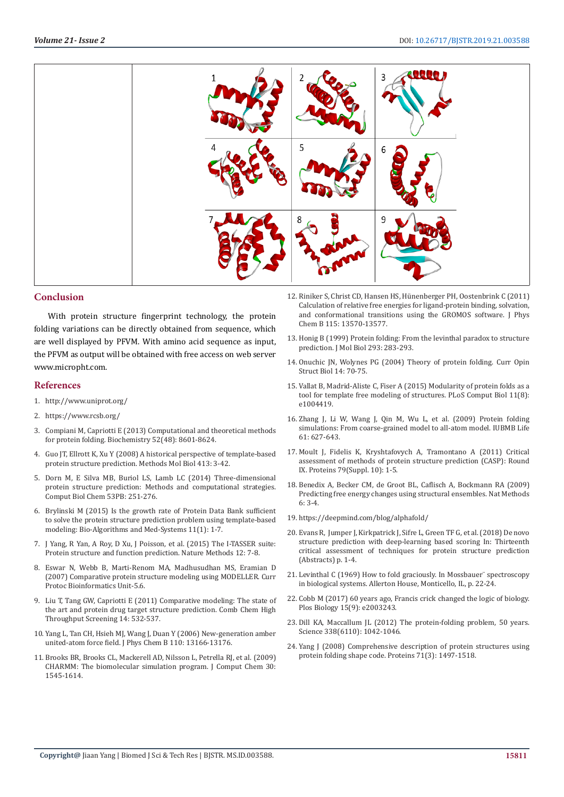

### **Conclusion**

With protein structure fingerprint technology, the protein folding variations can be directly obtained from sequence, which are well displayed by PFVM. With amino acid sequence as input, the PFVM as output will be obtained with free access on web server www.micropht.com.

#### **References**

- 1. <http://www.uniprot.org/>
- 2. <https://www.rcsb.org/>
- 3. [Compiani M, Capriotti E \(2013\) Computational and theoretical methods](https://pubs.acs.org/doi/abs/10.1021/bi4001529)  [for protein folding. Biochemistry 52\(48\): 8601-8624.](https://pubs.acs.org/doi/abs/10.1021/bi4001529)
- 4. [Guo JT, Ellrott K, Xu Y \(2008\) A historical perspective of template-based](https://www.ncbi.nlm.nih.gov/pubmed/18075160)  [protein structure prediction. Methods Mol Biol 413: 3-42.](https://www.ncbi.nlm.nih.gov/pubmed/18075160)
- 5. [Dorn M, E Silva MB, Buriol LS, Lamb LC \(2014\) Three-dimensional](https://www.ncbi.nlm.nih.gov/pubmed/25462334)  [protein structure prediction: Methods and computational strategies.](https://www.ncbi.nlm.nih.gov/pubmed/25462334)  [Comput Biol Chem 53PB: 251-276.](https://www.ncbi.nlm.nih.gov/pubmed/25462334)
- 6. [Brylinski M \(2015\) Is the growth rate of Protein Data Bank sufficient](https://www.degruyter.com/view/j/bams.2015.11.issue-1/bams-2014-0024/bams-2014-0024.xml)  [to solve the protein structure prediction problem using template-based](https://www.degruyter.com/view/j/bams.2015.11.issue-1/bams-2014-0024/bams-2014-0024.xml)  [modeling: Bio-Algorithms and Med-Systems 11\(1\): 1-7.](https://www.degruyter.com/view/j/bams.2015.11.issue-1/bams-2014-0024/bams-2014-0024.xml)
- 7. [J Yang, R Yan, A Roy, D Xu, J Poisson, et al. \(2015\) The I-TASSER suite:](https://www.ncbi.nlm.nih.gov/pubmed/25549265)  [Protein structure and function prediction. Nature Methods 12: 7-8.](https://www.ncbi.nlm.nih.gov/pubmed/25549265)
- 8. [Eswar N, Webb B, Marti-Renom MA, Madhusudhan MS, Eramian D](https://www.ncbi.nlm.nih.gov/pubmed/18428767)  [\(2007\) Comparative protein structure modeling using MODELLER. Curr](https://www.ncbi.nlm.nih.gov/pubmed/18428767)  [Protoc Bioinformatics Unit-5.6.](https://www.ncbi.nlm.nih.gov/pubmed/18428767)
- 9. [Liu T, Tang GW, Capriotti E \(2011\) Comparative modeling: The state of](file:///F:/Journals/BJSTR.MS.ID.003585-SI/BJSTR-CEL-19-MRW-153_SI_W/ncbi.nlm.nih.gov/pubmed/21521153)  [the art and protein drug target structure prediction. Comb Chem High](file:///F:/Journals/BJSTR.MS.ID.003585-SI/BJSTR-CEL-19-MRW-153_SI_W/ncbi.nlm.nih.gov/pubmed/21521153)  [Throughput Screening 14: 532-537.](file:///F:/Journals/BJSTR.MS.ID.003585-SI/BJSTR-CEL-19-MRW-153_SI_W/ncbi.nlm.nih.gov/pubmed/21521153)
- 10. [Yang L, Tan CH, Hsieh MJ, Wang J, Duan Y \(2006\) New-generation amber](https://www.ncbi.nlm.nih.gov/pubmed/16805629)  [united-atom force field. J Phys Chem B 110: 13166-13176.](https://www.ncbi.nlm.nih.gov/pubmed/16805629)
- 11. [Brooks BR, Brooks CL, Mackerell AD, Nilsson L, Petrella RJ, et al. \(2009\)](https://www.ncbi.nlm.nih.gov/pmc/articles/PMC2810661/)  [CHARMM: The biomolecular simulation program. J Comput Chem 30:](https://www.ncbi.nlm.nih.gov/pmc/articles/PMC2810661/)  [1545-1614.](https://www.ncbi.nlm.nih.gov/pmc/articles/PMC2810661/)
- 12. [Riniker S, Christ CD, Hansen HS, Hünenberger PH, Oostenbrink C \(2011\)](https://www.ncbi.nlm.nih.gov/pubmed/22039957) [Calculation of relative free energies for ligand-protein binding, solvation,](https://www.ncbi.nlm.nih.gov/pubmed/22039957) [and conformational transitions using the GROMOS software. J Phys](https://www.ncbi.nlm.nih.gov/pubmed/22039957) [Chem B 115: 13570-13577.](https://www.ncbi.nlm.nih.gov/pubmed/22039957)
- 13. [Honig B \(1999\) Protein folding: From the levinthal paradox to structure](https://www.ncbi.nlm.nih.gov/pubmed/10550209) [prediction. J Mol Biol 293: 283-293.](https://www.ncbi.nlm.nih.gov/pubmed/10550209)
- 14. [Onuchic JN, Wolynes PG \(2004\) Theory of protein folding. Curr Opin](https://www.ncbi.nlm.nih.gov/pubmed/15102452) [Struct Biol 14: 70-75.](https://www.ncbi.nlm.nih.gov/pubmed/15102452)
- 15. [Vallat B, Madrid-Aliste C, Fiser A \(2015\) Modularity of protein folds as a](https://www.ncbi.nlm.nih.gov/pmc/articles/PMC4529212/) [tool for template free modeling of structures. PLoS Comput Biol 11\(8\):](https://www.ncbi.nlm.nih.gov/pmc/articles/PMC4529212/) [e1004419.](https://www.ncbi.nlm.nih.gov/pmc/articles/PMC4529212/)
- 16. [Zhang J, Li W, Wang J, Qin M, Wu L, et al. \(2009\) Protein folding](https://www.ncbi.nlm.nih.gov/pubmed/19472192) [simulations: From coarse-grained model to all-atom model. IUBMB Life](https://www.ncbi.nlm.nih.gov/pubmed/19472192) [61: 627-643.](https://www.ncbi.nlm.nih.gov/pubmed/19472192)
- 17. [Moult J, Fidelis K, Kryshtafovych A, Tramontano A \(2011\) Critical](https://onlinelibrary.wiley.com/doi/abs/10.1002/prot.25415) [assessment of methods of protein structure prediction \(CASP\): Round](https://onlinelibrary.wiley.com/doi/abs/10.1002/prot.25415) [IX. Proteins 79\(Suppl. 10\): 1-5.](https://onlinelibrary.wiley.com/doi/abs/10.1002/prot.25415)
- 18. [Benedix A, Becker CM, de Groot BL, Caflisch A, Bockmann RA \(2009\)](https://www.nature.com/articles/nmeth0109-3) [Predicting free energy changes using structural ensembles. Nat Methods](https://www.nature.com/articles/nmeth0109-3) [6: 3-4.](https://www.nature.com/articles/nmeth0109-3)
- 19. <https://deepmind.com/blog/alphafold/>
- 20. Evans R, Jumper J, Kirkpatrick J, Sifre L, Green TF G, et al. (2018) De novo structure prediction with deep-learning based scoring In: Thirteenth critical assessment of techniques for protein structure prediction (Abstracts) p. 1-4.
- 21. Levinthal C (1969) How to fold graciously. In Mossbauer" spectroscopy [in biological systems. Allerton House, Monticello, IL, p. 22-24.](http://www.scirp.org/(S(i43dyn45teexjx455qlt3d2q))/reference/ReferencesPapers.aspx?ReferenceID=704773)
- 22. [Cobb M \(2017\) 60 years ago, Francis crick changed the logic of biology.](https://journals.plos.org/plosbiology/article?id=10.1371/journal.pbio.2003243) [Plos Biology 15\(9\): e2003243.](https://journals.plos.org/plosbiology/article?id=10.1371/journal.pbio.2003243)
- 23. [Dill KA, Maccallum JL \(2012\) The protein-folding problem, 50 years.](https://www.ncbi.nlm.nih.gov/pubmed/23180855) [Science 338\(6110\): 1042-1046.](https://www.ncbi.nlm.nih.gov/pubmed/23180855)
- 24. [Yang J \(2008\) Comprehensive description of protein structures using](https://www.ncbi.nlm.nih.gov/pubmed/18214949) [protein folding shape code. Proteins 71\(3\): 1497-1518.](https://www.ncbi.nlm.nih.gov/pubmed/18214949)